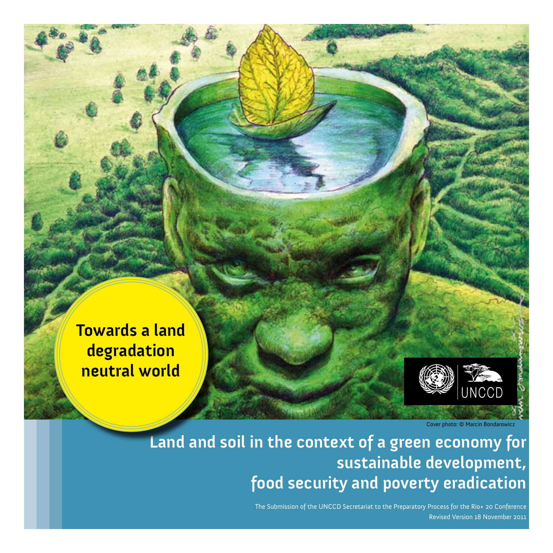

Cover photo: © Marcin Bondarowicz

# **Land and soil in the context of a green economy for sustainable development, food security and poverty eradication**

The Submission of the UNCCD Secretariat to the Preparatory Process for the Rio+ 20 Conference Revised Version 18 November 2011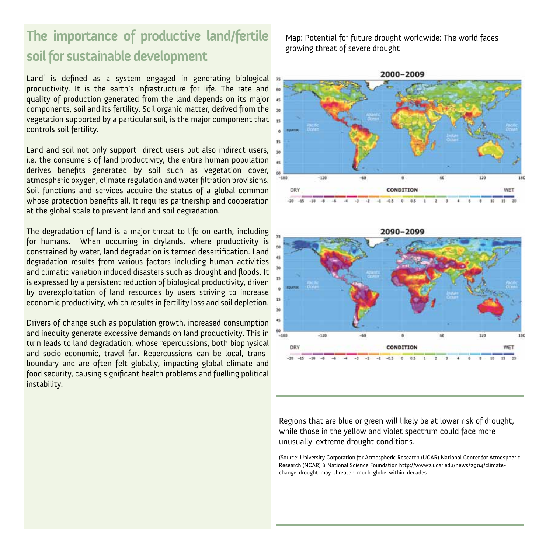## **The importance of productive land/fertile soil for sustainable development**

Land<sup>1</sup> is defined as a system engaged in generating biological productivity. It is the earth's infrastructure for life. The rate and quality of production generated from the land depends on its major components, soil and its fertility. Soil organic matter, derived from the vegetation supported by a particular soil, is the major component that controls soil fertility.

Land and soil not only support direct users but also indirect users, i.e. the consumers of land productivity, the entire human population derives benefits generated by soil such as vegetation cover, atmospheric oxygen, climate regulation and water filtration provisions. Soil functions and services acquire the status of a global common whose protection benefits all. It requires partnership and cooperation at the global scale to prevent land and soil degradation.

The degradation of land is a major threat to life on earth, including for humans. When occurring in drylands, where productivity is constrained by water, land degradation is termed desertification. Land degradation results from various factors including human activities and climatic variation induced disasters such as drought and floods. It is expressed by a persistent reduction of biological productivity, driven by overexploitation of land resources by users striving to increase economic productivity, which results in fertility loss and soil depletion.

Drivers of change such as population growth, increased consumption and inequity generate excessive demands on land productivity. This in turn leads to land degradation, whose repercussions, both biophysical and socio-economic, travel far. Repercussions can be local, transboundary and are often felt globally, impacting global climate and food security, causing significant health problems and fuelling political instability.

Map: Potential for future drought worldwide: The world faces growing threat of severe drought





Regions that are blue or green will likely be at lower risk of drought, while those in the yellow and violet spectrum could face more unusually-extreme drought conditions.

(Source: University Corporation for Atmospheric Research (UCAR) National Center for Atmospheric Research (NCAR) & National Science Foundation http://www2.ucar.edu/news/2904/climatechange-drought-may-threaten-much-globe-within-decades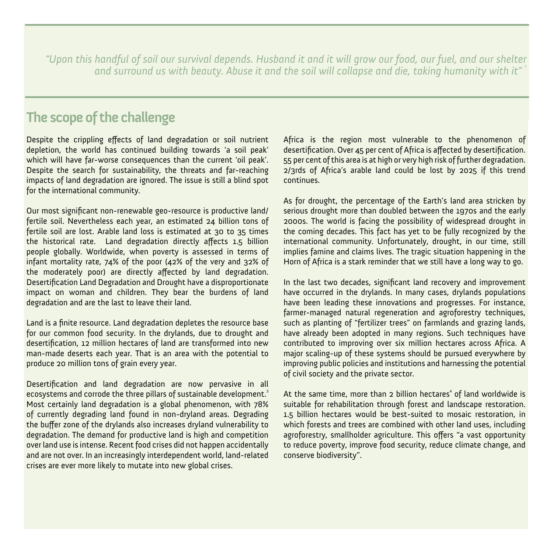*"Upon this handful of soil our survival depends. Husband it and it will grow our food, our fuel, and our shelter and surround us with beauty. Abuse it and the soil will collapse and die, taking humanity with it"* <sup>2</sup>

#### **The scope of the challenge**

Despite the crippling effects of land degradation or soil nutrient depletion, the world has continued building towards 'a soil peak' which will have far-worse consequences than the current 'oil peak'. Despite the search for sustainability, the threats and far-reaching impacts of land degradation are ignored. The issue is still a blind spot for the international community.

Our most significant non-renewable geo-resource is productive land/ fertile soil. Nevertheless each year, an estimated 24 billion tons of fertile soil are lost. Arable land loss is estimated at 30 to 35 times the historical rate. Land degradation directly affects 1.5 billion people globally. Worldwide, when poverty is assessed in terms of infant mortality rate, 74% of the poor (42% of the very and 32% of the moderately poor) are directly affected by land degradation. Desertification Land Degradation and Drought have a disproportionate impact on woman and children. They bear the burdens of land degradation and are the last to leave their land.

Land is a finite resource. Land degradation depletes the resource base for our common food security. In the drylands, due to drought and desertification, 12 million hectares of land are transformed into new man-made deserts each year. That is an area with the potential to produce 20 million tons of grain every year.

Desertification and land degradation are now pervasive in all ecosystems and corrode the three pillars of sustainable development.<sup>3</sup> Most certainly land degradation is a global phenomenon, with 78% of currently degrading land found in non-dryland areas. Degrading the buffer zone of the drylands also increases dryland vulnerability to degradation. The demand for productive land is high and competition over land use is intense. Recent food crises did not happen accidentally and are not over. In an increasingly interdependent world, land-related crises are ever more likely to mutate into new global crises.

Africa is the region most vulnerable to the phenomenon of desertification. Over 45 per cent of Africa is affected by desertification. 55 per cent of this area is at high or very high risk of further degradation. 2/3rds of Africa's arable land could be lost by 2025 if this trend continues.

As for drought, the percentage of the Earth's land area stricken by serious drought more than doubled between the 1970s and the early 2000s. The world is facing the possibility of widespread drought in the coming decades. This fact has yet to be fully recognized by the international community. Unfortunately, drought, in our time, still implies famine and claims lives. The tragic situation happening in the Horn of Africa is a stark reminder that we still have a long way to go.

In the last two decades, significant land recovery and improvement have occurred in the drylands. In many cases, drylands populations have been leading these innovations and progresses. For instance, farmer-managed natural regeneration and agroforestry techniques, such as planting of "fertilizer trees" on farmlands and grazing lands, have already been adopted in many regions. Such techniques have contributed to improving over six million hectares across Africa. A major scaling-up of these systems should be pursued everywhere by improving public policies and institutions and harnessing the potential of civil society and the private sector.

At the same time, more than 2 billion hectares<sup>4</sup> of land worldwide is suitable for rehabilitation through forest and landscape restoration. 1.5 billion hectares would be best-suited to mosaic restoration, in which forests and trees are combined with other land uses, including agroforestry, smallholder agriculture. This offers "a vast opportunity to reduce poverty, improve food security, reduce climate change, and conserve biodiversity".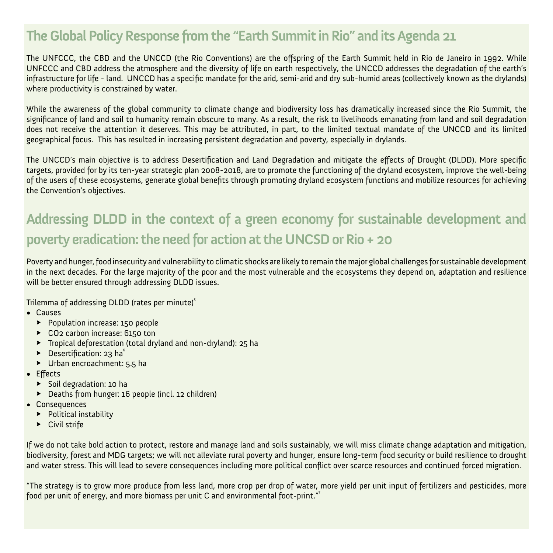## **The Global Policy Response from the "Earth Summit in Rio" and its Agenda 21**

The UNFCCC, the CBD and the UNCCD (the Rio Conventions) are the offspring of the Earth Summit held in Rio de Janeiro in 1992. While UNFCCC and CBD address the atmosphere and the diversity of life on earth respectively, the UNCCD addresses the degradation of the earth's infrastructure for life - land. UNCCD has a specific mandate for the arid, semi-arid and dry sub-humid areas (collectively known as the drylands) where productivity is constrained by water.

While the awareness of the global community to climate change and biodiversity loss has dramatically increased since the Rio Summit, the significance of land and soil to humanity remain obscure to many. As a result, the risk to livelihoods emanating from land and soil degradation does not receive the attention it deserves. This may be attributed, in part, to the limited textual mandate of the UNCCD and its limited geographical focus. This has resulted in increasing persistent degradation and poverty, especially in drylands.

The UNCCD's main objective is to address Desertification and Land Degradation and mitigate the effects of Drought (DLDD). More specific targets, provided for by its ten-year strategic plan 2008-2018, are to promote the functioning of the dryland ecosystem, improve the well-being of the users of these ecosystems, generate global benefits through promoting dryland ecosystem functions and mobilize resources for achieving the Convention's objectives.

## **Addressing DLDD in the context of a green economy for sustainable development and poverty eradication: the need for action at the UNCSD or Rio + 20**

Poverty and hunger, food insecurity and vulnerability to climatic shocks are likely to remain the major global challenges for sustainable development in the next decades. For the large majority of the poor and the most vulnerable and the ecosystems they depend on, adaptation and resilience will be better ensured through addressing DLDD issues.

Trilemma of addressing DLDD (rates per minute)<sup>5</sup>

- • Causes
	- ◊ Population increase: 150 people
	- ◊ CO2 carbon increase: 6150 ton
	- ◊ Tropical deforestation (total dryland and non-dryland): 25 ha
	- $\triangleright$  Desertification: 23 ha<sup>6</sup>
	- ◊ Urban encroachment: 5.5 ha
- • Effects
	- ◊ Soil degradation: 10 ha
	- ◊ Deaths from hunger: 16 people (incl. 12 children)
- • Consequences
	- ◊ Political instability
	- ▶ Civil strife

If we do not take bold action to protect, restore and manage land and soils sustainably, we will miss climate change adaptation and mitigation, biodiversity, forest and MDG targets; we will not alleviate rural poverty and hunger, ensure long-term food security or build resilience to drought and water stress. This will lead to severe consequences including more political conflict over scarce resources and continued forced migration.

"The strategy is to grow more produce from less land, more crop per drop of water, more yield per unit input of fertilizers and pesticides, more food per unit of energy, and more biomass per unit C and environmental foot-print."<sup>7</sup>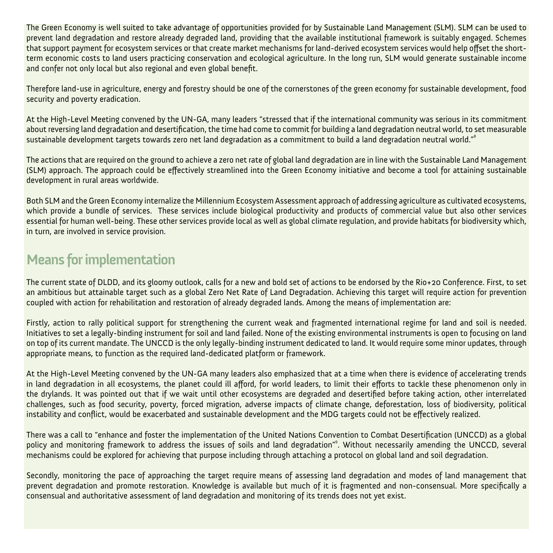The Green Economy is well suited to take advantage of opportunities provided for by Sustainable Land Management (SLM). SLM can be used to prevent land degradation and restore already degraded land, providing that the available institutional framework is suitably engaged. Schemes that support payment for ecosystem services or that create market mechanisms for land-derived ecosystem services would help offset the shortterm economic costs to land users practicing conservation and ecological agriculture. In the long run, SLM would generate sustainable income and confer not only local but also regional and even global benefit.

Therefore land-use in agriculture, energy and forestry should be one of the cornerstones of the green economy for sustainable development, food security and poverty eradication.

At the High-Level Meeting convened by the UN-GA, many leaders "stressed that if the international community was serious in its commitment about reversing land degradation and desertification, the time had come to commit for building a land degradation neutral world, to set measurable sustainable development targets towards zero net land degradation as a commitment to build a land degradation neutral world."<sup>8</sup>

The actions that are required on the ground to achieve a zero net rate of global land degradation are in line with the Sustainable Land Management (SLM) approach. The approach could be effectively streamlined into the Green Economy initiative and become a tool for attaining sustainable development in rural areas worldwide.

Both SLM and the Green Economy internalize the Millennium Ecosystem Assessment approach of addressing agriculture as cultivated ecosystems, which provide a bundle of services. These services include biological productivity and products of commercial value but also other services essential for human well-being. These other services provide local as well as global climate regulation, and provide habitats for biodiversity which, in turn, are involved in service provision.

### **Means for implementation**

The current state of DLDD, and its gloomy outlook, calls for a new and bold set of actions to be endorsed by the Rio+20 Conference. First, to set an ambitious but attainable target such as a global Zero Net Rate of Land Degradation. Achieving this target will require action for prevention coupled with action for rehabilitation and restoration of already degraded lands. Among the means of implementation are:

Firstly, action to rally political support for strengthening the current weak and fragmented international regime for land and soil is needed. Initiatives to set a legally-binding instrument for soil and land failed. None of the existing environmental instruments is open to focusing on land on top of its current mandate. The UNCCD is the only legally-binding instrument dedicated to land. It would require some minor updates, through appropriate means, to function as the required land-dedicated platform or framework.

At the High-Level Meeting convened by the UN-GA many leaders also emphasized that at a time when there is evidence of accelerating trends in land degradation in all ecosystems, the planet could ill afford, for world leaders, to limit their efforts to tackle these phenomenon only in the drylands. It was pointed out that if we wait until other ecosystems are degraded and desertified before taking action, other interrelated challenges, such as food security, poverty, forced migration, adverse impacts of climate change, deforestation, loss of biodiversity, political instability and conflict, would be exacerbated and sustainable development and the MDG targets could not be effectively realized.

There was a call to "enhance and foster the implementation of the United Nations Convention to Combat Desertification (UNCCD) as a global policy and monitoring framework to address the issues of soils and land degradation"<sup>9</sup>. Without necessarily amending the UNCCD, several mechanisms could be explored for achieving that purpose including through attaching a protocol on global land and soil degradation.

Secondly, monitoring the pace of approaching the target require means of assessing land degradation and modes of land management that prevent degradation and promote restoration. Knowledge is available but much of it is fragmented and non-consensual. More specifically a consensual and authoritative assessment of land degradation and monitoring of its trends does not yet exist.